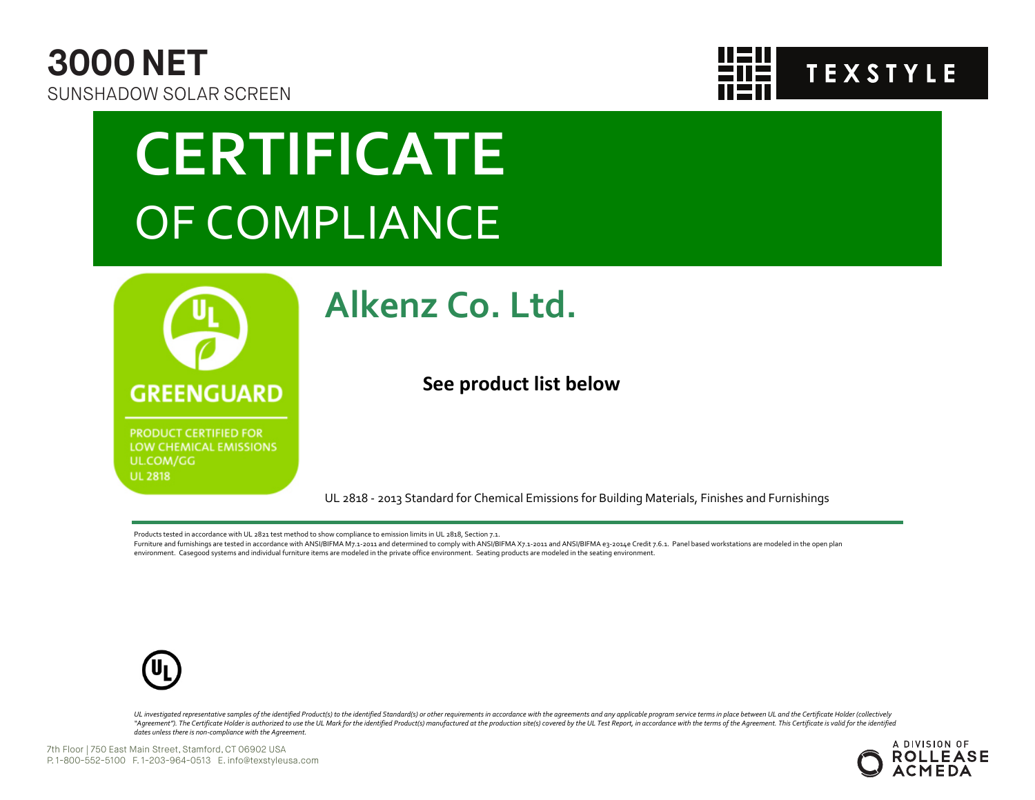



## **CERTIFICATE** OF COMPLIANCE



**PRODUCT CERTIFIED FOR** LOW CHEMICAL EMISSIONS UL.COM/GG **UL 2818** 

### **Alkenz Co. Ltd.**

**See product list below**

UL 2818 - 2013 Standard for Chemical Emissions for Building Materials, Finishes and Furnishings

Products tested in accordance with UL 2821 test method to show compliance to emission limits in UL 2818, Section 7.1.

Furniture and furnishings are tested in accordance with ANSI/BIFMA M7.1-2011 and determined to comply with ANSI/BIFMA X7.1-2011 and ANSI/BIFMA e3-2014e Credit 7.6.1. Panel based workstations are modeled in the open plan environment. Casegood systems and individual furniture items are modeled in the private office environment. Seating products are modeled in the seating environment.



UL investigated representative samples of the identified Product(s) to the identified Standard(s) or other requirements in accordance with the agreements and any applicable program service terms in place between UL and the "Agreement"). The Certificate Holder is authorized to use the UL Mark for the identified Product(s) manufactured at the production site(s) covered by the UL Test Report, in accordance with the terms of the Agreement. This *dates unless there is non-compliance with the Agreement.*

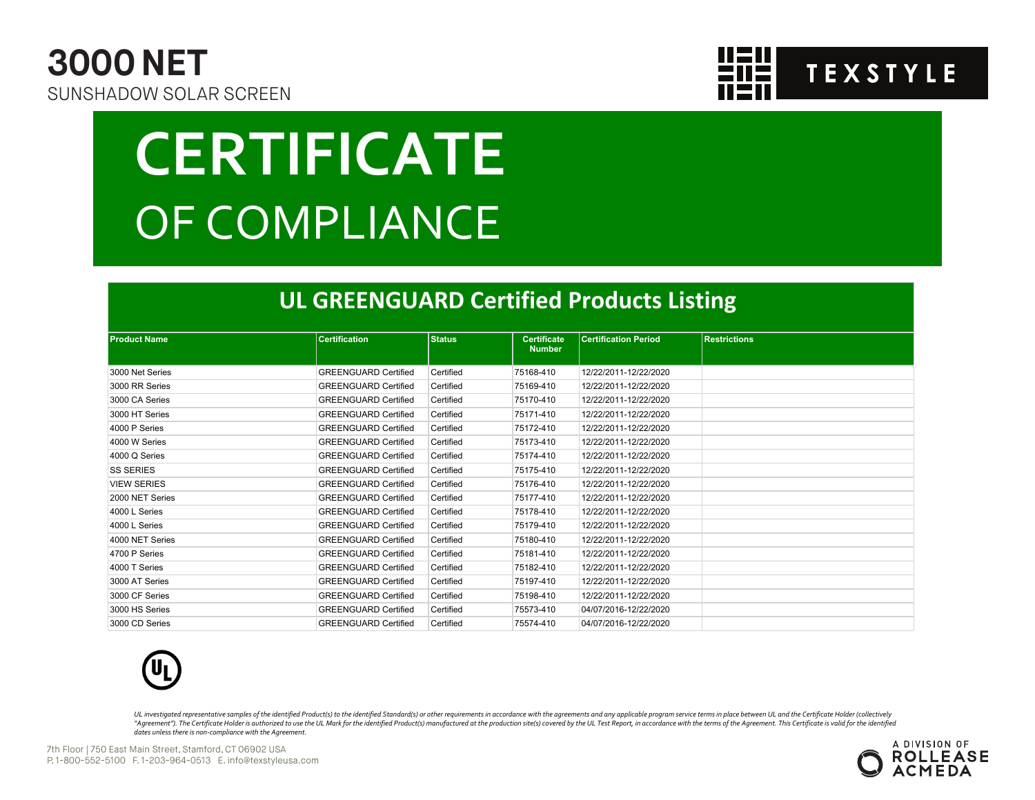



# **CERTIFICATE** OF COMPLIANCE

#### **UL GREENGUARD Certified Products Listing**

| <b>Product Name</b> | <b>Certification</b>        | <b>Status</b> | <b>Certificate</b><br><b>Number</b> | <b>Certification Period</b> | <b>Restrictions</b> |
|---------------------|-----------------------------|---------------|-------------------------------------|-----------------------------|---------------------|
| 3000 Net Series     | <b>GREENGUARD Certified</b> | Certified     | 75168-410                           | 12/22/2011-12/22/2020       |                     |
| 3000 RR Series      | <b>GREENGUARD Certified</b> | Certified     | 75169-410                           | 12/22/2011-12/22/2020       |                     |
| 3000 CA Series      | <b>GREENGUARD Certified</b> | Certified     | 75170-410                           | 12/22/2011-12/22/2020       |                     |
| 3000 HT Series      | <b>GREENGUARD Certified</b> | Certified     | 75171-410                           | 12/22/2011-12/22/2020       |                     |
| 4000 P Series       | <b>GREENGUARD Certified</b> | Certified     | 75172-410                           | 12/22/2011-12/22/2020       |                     |
| 4000 W Series       | <b>GREENGUARD Certified</b> | Certified     | 75173-410                           | 12/22/2011-12/22/2020       |                     |
| 4000 Q Series       | <b>GREENGUARD Certified</b> | Certified     | 75174-410                           | 12/22/2011-12/22/2020       |                     |
| <b>SS SERIES</b>    | <b>GREENGUARD Certified</b> | Certified     | 75175-410                           | 12/22/2011-12/22/2020       |                     |
| <b>VIEW SERIES</b>  | <b>GREENGUARD Certified</b> | Certified     | 75176-410                           | 12/22/2011-12/22/2020       |                     |
| 2000 NET Series     | <b>GREENGUARD Certified</b> | Certified     | 75177-410                           | 12/22/2011-12/22/2020       |                     |
| 4000 L Series       | <b>GREENGUARD Certified</b> | Certified     | 75178-410                           | 12/22/2011-12/22/2020       |                     |
| 4000 L Series       | <b>GREENGUARD Certified</b> | Certified     | 75179-410                           | 12/22/2011-12/22/2020       |                     |
| 4000 NET Series     | <b>GREENGUARD Certified</b> | Certified     | 75180-410                           | 12/22/2011-12/22/2020       |                     |
| 4700 P Series       | <b>GREENGUARD Certified</b> | Certified     | 75181-410                           | 12/22/2011-12/22/2020       |                     |
| 4000 T Series       | <b>GREENGUARD Certified</b> | Certified     | 75182-410                           | 12/22/2011-12/22/2020       |                     |
| 3000 AT Series      | <b>GREENGUARD Certified</b> | Certified     | 75197-410                           | 12/22/2011-12/22/2020       |                     |
| 3000 CF Series      | <b>GREENGUARD Certified</b> | Certified     | 75198-410                           | 12/22/2011-12/22/2020       |                     |
| 3000 HS Series      | <b>GREENGUARD Certified</b> | Certified     | 75573-410                           | 04/07/2016-12/22/2020       |                     |
| 3000 CD Series      | <b>GREENGUARD Certified</b> | Certified     | 75574-410                           | 04/07/2016-12/22/2020       |                     |



UL investigated representative samples of the identified Product(s) to the identified Standard(s) or other requirements in accordance with the agreements and any applicable program service terms in place between UL and the "Agreement"). The Certificate Holder is authorized to use the UL Mark for the identified Product(s) manufactured at the production site(s) covered by the UL Test Report, in accordance with the terms of the Agreement. This *dates unless there is non-compliance with the Agreement.*